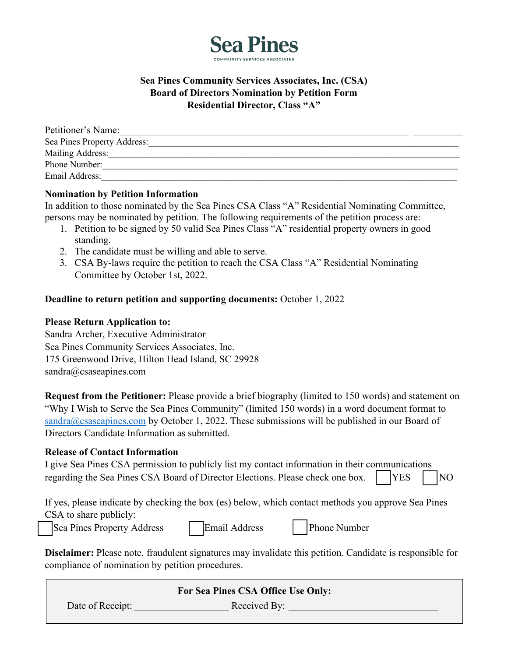

### **Sea Pines Community Services Associates, Inc. (CSA) Board of Directors Nomination by Petition Form Residential Director, Class "A"**

| Petitioner's Name:          |  |
|-----------------------------|--|
| Sea Pines Property Address: |  |
| Mailing Address:            |  |
| Phone Number:               |  |
| Email Address:              |  |

### **Nomination by Petition Information**

In addition to those nominated by the Sea Pines CSA Class "A" Residential Nominating Committee, persons may be nominated by petition. The following requirements of the petition process are:

- 1. Petition to be signed by 50 valid Sea Pines Class "A" residential property owners in good standing.
- 2. The candidate must be willing and able to serve.
- 3. CSA By-laws require the petition to reach the CSA Class "A" Residential Nominating Committee by October 1st, 2022.

### **Deadline to return petition and supporting documents:** October 1, 2022

### **Please Return Application to:**

Sandra Archer, Executive Administrator Sea Pines Community Services Associates, Inc. 175 Greenwood Drive, Hilton Head Island, SC 29928 sandra@csaseapines.com

**Request from the Petitioner:** Please provide a brief biography (limited to 150 words) and statement on "Why I Wish to Serve the Sea Pines Community" (limited 150 words) in a word document format to [sandra@csaseapines.com](mailto:sandra@csaseapines.com) by October 1, 2022. These submissions will be published in our Board of Directors Candidate Information as submitted.

#### **Release of Contact Information**

| I give Sea Pines CSA permission to publicly list my contact information in their communications |          |  |
|-------------------------------------------------------------------------------------------------|----------|--|
| regarding the Sea Pines CSA Board of Director Elections. Please check one box.                  | $YES$ NO |  |

If yes, please indicate by checking the box (es) below, which contact methods you approve Sea Pines CSA to share publicly:

Sea Pines Property Address Email Address | Phone Number

**Disclaimer:** Please note, fraudulent signatures may invalidate this petition. Candidate is responsible for compliance of nomination by petition procedures.

| For Sea Pines CSA Office Use Only: |              |  |  |  |
|------------------------------------|--------------|--|--|--|
| Date of Receipt:                   | Received By: |  |  |  |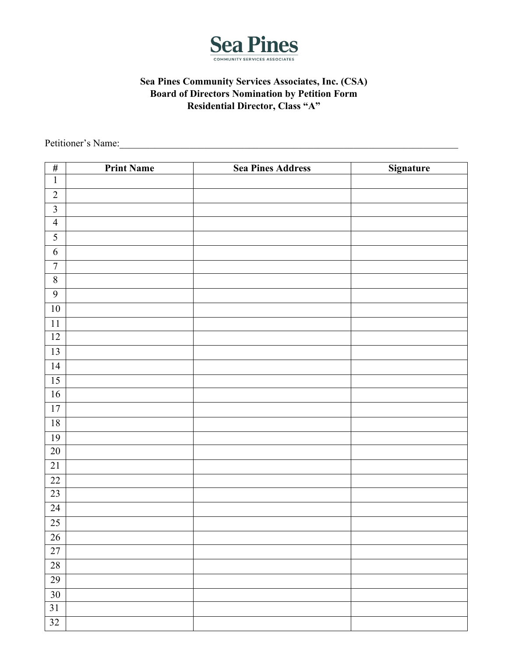

# **Sea Pines Community Services Associates, Inc. (CSA) Board of Directors Nomination by Petition Form Residential Director, Class "A"**

Petitioner's Name:\_\_\_\_\_\_\_\_\_\_\_\_\_\_\_\_\_\_\_\_\_\_\_\_\_\_\_\_\_\_\_\_\_\_\_\_\_\_\_\_\_\_\_\_\_\_\_\_\_\_\_\_\_\_\_\_\_\_\_\_\_\_\_\_\_\_\_\_

| $\#$             | <b>Print Name</b> | <b>Sea Pines Address</b> | <b>Signature</b> |
|------------------|-------------------|--------------------------|------------------|
| $\mathbf 1$      |                   |                          |                  |
| $\sqrt{2}$       |                   |                          |                  |
| $\mathfrak{Z}$   |                   |                          |                  |
| $\overline{4}$   |                   |                          |                  |
| $\sqrt{5}$       |                   |                          |                  |
| $\sqrt{6}$       |                   |                          |                  |
| $\boldsymbol{7}$ |                   |                          |                  |
| $\sqrt{8}$       |                   |                          |                  |
| $\overline{9}$   |                   |                          |                  |
| $10\,$           |                   |                          |                  |
| $11\,$           |                   |                          |                  |
| $12\,$           |                   |                          |                  |
| 13               |                   |                          |                  |
| 14               |                   |                          |                  |
| 15               |                   |                          |                  |
| 16               |                   |                          |                  |
| 17               |                   |                          |                  |
| 18               |                   |                          |                  |
| 19               |                   |                          |                  |
| $20\,$           |                   |                          |                  |
| $21\,$           |                   |                          |                  |
| 22               |                   |                          |                  |
| 23               |                   |                          |                  |
| 24               |                   |                          |                  |
| 25               |                   |                          |                  |
| $26\,$           |                   |                          |                  |
| 27               |                   |                          |                  |
| 28               |                   |                          |                  |
| 29               |                   |                          |                  |
| $\overline{30}$  |                   |                          |                  |
| $31\,$           |                   |                          |                  |
| 32               |                   |                          |                  |